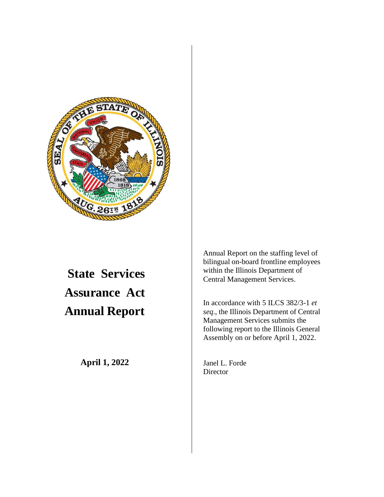

## **State Services Assurance Act Annual Report**

**April 1, 2022**

Annual Report on the staffing level of bilingual on-board frontline employees within the Illinois Department of Central Management Services.

In accordance with 5 ILCS 382/3-1 *et seq*., the Illinois Department of Central Management Services submits the following report to the Illinois General Assembly on or before April 1, 2022.

Janel L. Forde **Director**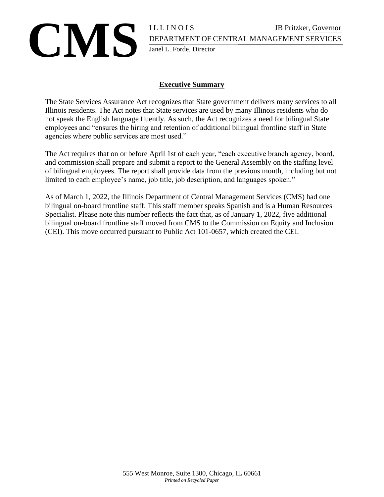## **CMS** I LET NOTS JB Pritzker, Governor DEPARTMENT OF CENTRAL MANAGEMENT SERVICES DEPARTMENT OF CENTRAL MANAGEMENT SERVICES Janel L. Forde, Director

#### **Executive Summary**

The State Services Assurance Act recognizes that State government delivers many services to all Illinois residents. The Act notes that State services are used by many Illinois residents who do not speak the English language fluently. As such, the Act recognizes a need for bilingual State employees and "ensures the hiring and retention of additional bilingual frontline staff in State agencies where public services are most used."

The Act requires that on or before April 1st of each year, "each executive branch agency, board, and commission shall prepare and submit a report to the General Assembly on the staffing level of bilingual employees. The report shall provide data from the previous month, including but not limited to each employee's name, job title, job description, and languages spoken."

As of March 1, 2022, the Illinois Department of Central Management Services (CMS) had one bilingual on-board frontline staff. This staff member speaks Spanish and is a Human Resources Specialist. Please note this number reflects the fact that, as of January 1, 2022, five additional bilingual on-board frontline staff moved from CMS to the Commission on Equity and Inclusion (CEI). This move occurred pursuant to Public Act 101-0657, which created the CEI.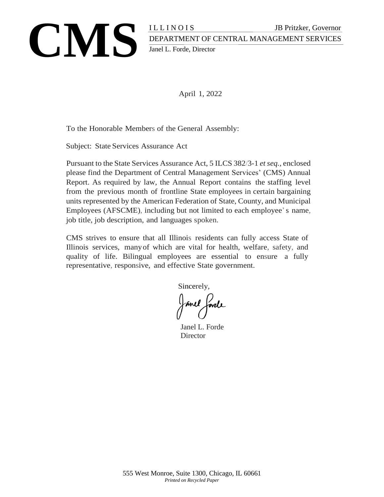

April 1, 2022

To the Honorable Members of the General Assembly:

Subject: State Services Assurance Act

Pursuant to the State Services Assurance Act, 5 ILCS 382/3-1 *et seq.,* enclosed please find the Department of Central Management Services' (CMS) Annual Report. As required by law, the Annual Report contains the staffing level from the previous month of frontline State employees in certain bargaining units represented by the American Federation of State, County, and Municipal Employees (AFSCME), including but not limited to each employee's name, job title, job description, and languages spoken.

CMS strives to ensure that all Illinois residents can fully access State of Illinois services, manyof which are vital for health, welfare, safety, and quality of life. Bilingual employees are essential to ensure a fully representative, responsive, and effective State government.

Sincerely,

Janel Jorde

Janel L. Forde Director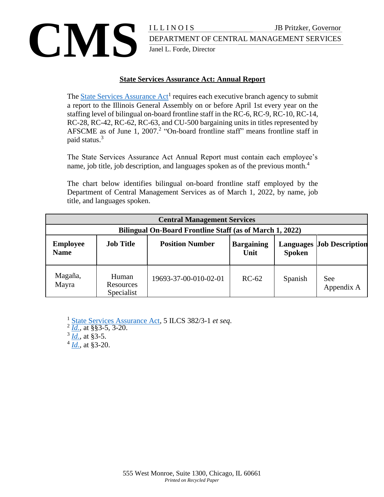### TRINGT BERATIVENT OF CENTRAL MANAGEMENT SERVICES DEPARTMENT OF CENTRAL MANAGEMENT SERVICES Janel L. Forde, Director

#### **State Services Assurance Act: Annual Report**

The **State Services Assurance Act<sup>1</sup>** requires each executive branch agency to submit a report to the Illinois General Assembly on or before April 1st every year on the staffing level of bilingual on-board frontline staff in the RC-6, RC-9, RC-10, RC-14, RC-28, RC-42, RC-62, RC-63, and CU-500 bargaining units in titles represented by AFSCME as of June 1,  $2007<sup>2</sup>$  "On-board frontline staff" means frontline staff in paid status.<sup>3</sup>

The State Services Assurance Act Annual Report must contain each employee's name, job title, job description, and languages spoken as of the previous month.<sup>4</sup>

The chart below identifies bilingual on-board frontline staff employed by the Department of Central Management Services as of March 1, 2022, by name, job title, and languages spoken.

|                                |                                         | <b>Central Management Services</b>                       |                           |               |                                  |
|--------------------------------|-----------------------------------------|----------------------------------------------------------|---------------------------|---------------|----------------------------------|
|                                |                                         | Bilingual On-Board Frontline Staff (as of March 1, 2022) |                           |               |                                  |
| <b>Employee</b><br><b>Name</b> | <b>Job Title</b>                        | <b>Position Number</b>                                   | <b>Bargaining</b><br>Unit | <b>Spoken</b> | <b>Languages Job Description</b> |
| Magaña,<br>Mayra               | Human<br><b>Resources</b><br>Specialist | 19693-37-00-010-02-01                                    | $RC-62$                   | Spanish       | <b>See</b><br>Appendix A         |

<sup>1</sup> State Services [Assurance Act,](http://www.ilga.gov/legislation/ilcs/ilcs4.asp?DocName=000503820HArt%2E%2B3&ActID=2960&ChapterID=2&SeqStart=200000&SeqEnd=800000) 5 ILCS 382/3-1 *et seq*.

3 *[Id.](http://www.ilga.gov/legislation/ilcs/ilcs4.asp?DocName=000503820HArt%2E%2B3&ActID=2960&ChapterID=2&SeqStart=200000&SeqEnd=800000)*, at §3-5.

4 *[Id.](http://www.ilga.gov/legislation/ilcs/ilcs4.asp?DocName=000503820HArt%2E%2B3&ActID=2960&ChapterID=2&SeqStart=200000&SeqEnd=800000)*, at §3-20.

 $^{2}$   $\overline{Id.}$  $\overline{Id.}$  $\overline{Id.}$ , at §§3-5, 3-20.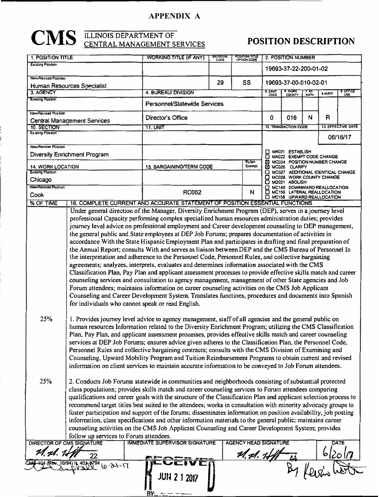#### **APPENDIX A**

# **CMS** ELINOIS DEPARTMENT OF POSITION DESCRIPTION

| <b>1. POSITION TITLE</b>                       |                                                                                                                                                                                                                          | <b>WORKING TITLE (IF ANY)</b>                                                                                                                                                                                   | <b>BILINGUAL</b><br>CODE | POSITION TITLE<br>OPTION CODE |         | 2. POSITION NUMBER                                            |      |               |                    |
|------------------------------------------------|--------------------------------------------------------------------------------------------------------------------------------------------------------------------------------------------------------------------------|-----------------------------------------------------------------------------------------------------------------------------------------------------------------------------------------------------------------|--------------------------|-------------------------------|---------|---------------------------------------------------------------|------|---------------|--------------------|
| <b>Existing Position</b>                       |                                                                                                                                                                                                                          |                                                                                                                                                                                                                 |                          |                               |         | 19693-37-22-200-01-02                                         |      |               |                    |
| New/Revised Position                           |                                                                                                                                                                                                                          |                                                                                                                                                                                                                 | 29                       | <b>SS</b>                     |         | 19693-37-00-010-02-01                                         |      |               |                    |
| <b>Human Resources Specialist</b><br>3. AGENCY |                                                                                                                                                                                                                          | 4. BUREAU/ DIVISION                                                                                                                                                                                             |                          |                               | 5. EXAM | <b>B WORK</b>                                                 | 7 AM | <b>BAUDIT</b> | 9 OFFICE           |
| <b>Existing Position</b>                       |                                                                                                                                                                                                                          | Personnel/Statewide Services                                                                                                                                                                                    |                          |                               | CODE    |                                                               |      |               | USE                |
| New/Revised Position                           |                                                                                                                                                                                                                          |                                                                                                                                                                                                                 |                          |                               |         |                                                               |      |               |                    |
|                                                | Central Management Services                                                                                                                                                                                              | <b>Director's Office</b>                                                                                                                                                                                        |                          |                               | 0       | 016                                                           | N    | R             |                    |
| 10. SECTION<br>Ex-sting Position               |                                                                                                                                                                                                                          | 11. UNIT                                                                                                                                                                                                        |                          |                               |         | 12. TRANSACTION CODE                                          |      |               | 13. EFFECTIVE DATE |
|                                                |                                                                                                                                                                                                                          |                                                                                                                                                                                                                 |                          |                               |         |                                                               |      |               | 06/16/17           |
| New/Revised Position                           |                                                                                                                                                                                                                          |                                                                                                                                                                                                                 |                          |                               |         | MA021 ESTABLISH                                               |      |               |                    |
|                                                | Diversity Enrichment Program                                                                                                                                                                                             |                                                                                                                                                                                                                 |                          | Rutan                         | □       | MA022 EXEMPT CODE CHANGE                                      |      |               |                    |
| <b>14. WORK LOCATION</b>                       |                                                                                                                                                                                                                          | <b>15. BARGAINING/TERM CODE</b>                                                                                                                                                                                 |                          | Exempt                        | ⊠<br>⊠  | MC024 POSITION NUMBER CHANGE<br>MC026 CLARIFY                 |      |               |                    |
| Existing Position                              |                                                                                                                                                                                                                          |                                                                                                                                                                                                                 |                          |                               |         | MC027 ADDITIONAL IDENTICAL CHANGE<br>MC028 WORK COUNTY CHANGE |      |               |                    |
| Chicago<br>New/Revised Postlion                |                                                                                                                                                                                                                          |                                                                                                                                                                                                                 |                          |                               | O       | MD021 ABOLISH<br>MC149 DOWNWARD REALLOCATION                  |      |               |                    |
| Cook                                           |                                                                                                                                                                                                                          | <b>RC062</b>                                                                                                                                                                                                    |                          | N                             |         | MC150 LATERAL REALLOCATION                                    |      |               |                    |
| % OF TIME                                      |                                                                                                                                                                                                                          | 16. COMPLETE CURRENT AND ACCURATE STATEMENT OF POSITION ESSENTIAL FUNCTIONS                                                                                                                                     |                          |                               |         | <b>B</b> MC158 UPWARD REALLOCATION                            |      |               |                    |
|                                                |                                                                                                                                                                                                                          | Under general direction of the Manager, Diversity Enrichment Program (DEP), serves in a journey level                                                                                                           |                          |                               |         |                                                               |      |               |                    |
|                                                |                                                                                                                                                                                                                          | professional Capacity performing complex specialized human resources administration duties; provides                                                                                                            |                          |                               |         |                                                               |      |               |                    |
|                                                |                                                                                                                                                                                                                          | journey level advice on professional employment and Career development counseling to DEP management,                                                                                                            |                          |                               |         |                                                               |      |               |                    |
|                                                |                                                                                                                                                                                                                          | the general public and State employees at DEP Job Forums; prepares documentation of activities in                                                                                                               |                          |                               |         |                                                               |      |               |                    |
|                                                |                                                                                                                                                                                                                          | accordance With the State Hispanic Employment Plan and participates in drafting and final preparation of                                                                                                        |                          |                               |         |                                                               |      |               |                    |
|                                                |                                                                                                                                                                                                                          | the Annual Report; consults With and serves as liaison between DEP and the CMS Bureau of Personnel In                                                                                                           |                          |                               |         |                                                               |      |               |                    |
|                                                |                                                                                                                                                                                                                          | the interpretation and adherence to the Personnel Code, Personnel Rules, and collective bargaining                                                                                                              |                          |                               |         |                                                               |      |               |                    |
|                                                |                                                                                                                                                                                                                          | agreements; analyzes, interprets, evaluates and determines information associated with the CMS<br>Classification Plan, Pay Plan and applicant assessment processes to provide effective skills match and career |                          |                               |         |                                                               |      |               |                    |
|                                                |                                                                                                                                                                                                                          | counseling services and consultation to agency management, management of other State agencies and Job                                                                                                           |                          |                               |         |                                                               |      |               |                    |
|                                                |                                                                                                                                                                                                                          | Forum attendees; maintains information on career counseling activities on the CMS Job Applicant                                                                                                                 |                          |                               |         |                                                               |      |               |                    |
|                                                |                                                                                                                                                                                                                          | Counseling and Career Development System. Translates functions, procedures and documents into Spanish                                                                                                           |                          |                               |         |                                                               |      |               |                    |
|                                                | for individuals who cannot speak or read English.                                                                                                                                                                        |                                                                                                                                                                                                                 |                          |                               |         |                                                               |      |               |                    |
|                                                |                                                                                                                                                                                                                          |                                                                                                                                                                                                                 |                          |                               |         |                                                               |      |               |                    |
| 25%                                            |                                                                                                                                                                                                                          | 1. Provides journey level advice to agency management, staff of all agencies and the general public on                                                                                                          |                          |                               |         |                                                               |      |               |                    |
|                                                |                                                                                                                                                                                                                          | human resources Information related to the Diversity Enrichment Program; utilizing the CMS Classification                                                                                                       |                          |                               |         |                                                               |      |               |                    |
|                                                | Plan, Pay Plan, and applicant assessment processes, provides effective skills match and career counseling                                                                                                                |                                                                                                                                                                                                                 |                          |                               |         |                                                               |      |               |                    |
|                                                | services at DEP Job Forums; ensures advice given adheres to the Classification Plan, the Personnel Code,                                                                                                                 |                                                                                                                                                                                                                 |                          |                               |         |                                                               |      |               |                    |
|                                                | Personnel Rules and collective bargaining contracts; consults with the CMS Division of Examining and                                                                                                                     |                                                                                                                                                                                                                 |                          |                               |         |                                                               |      |               |                    |
|                                                | Counseling, Upward Mobility Program and Tuition Reimbursement Programs to obtain current and revised                                                                                                                     |                                                                                                                                                                                                                 |                          |                               |         |                                                               |      |               |                    |
|                                                | information on client services to maintain accurate information to be conveyed to Job Forum attendees.                                                                                                                   |                                                                                                                                                                                                                 |                          |                               |         |                                                               |      |               |                    |
|                                                |                                                                                                                                                                                                                          |                                                                                                                                                                                                                 |                          |                               |         |                                                               |      |               |                    |
| 25%                                            | 2. Conducts Job Forums statewide in communities and neighborhoods consisting of substantial protected                                                                                                                    |                                                                                                                                                                                                                 |                          |                               |         |                                                               |      |               |                    |
|                                                | class populations; provides skills match and career counseling services to Forum attendees comparing<br>qualifications and career goals with the structure of the Classification Plan and applicant selection process to |                                                                                                                                                                                                                 |                          |                               |         |                                                               |      |               |                    |
|                                                | recommend target titles best suited to the attendees; works in consultation with minority advocacy groups to                                                                                                             |                                                                                                                                                                                                                 |                          |                               |         |                                                               |      |               |                    |
|                                                | foster participation and support of the forums; disseminates information on position availability, job posting                                                                                                           |                                                                                                                                                                                                                 |                          |                               |         |                                                               |      |               |                    |
|                                                | information, class specifications and other information materials to the general public; maintains career                                                                                                                |                                                                                                                                                                                                                 |                          |                               |         |                                                               |      |               |                    |
|                                                | counseling activities on the CMS Job Applicant Counseling and Career Development System; provides                                                                                                                        |                                                                                                                                                                                                                 |                          |                               |         |                                                               |      |               |                    |
|                                                | follow up services to Forum attendees.                                                                                                                                                                                   |                                                                                                                                                                                                                 |                          |                               |         |                                                               |      |               |                    |
| DIRECTOR OF CMS SIGNATURE                      |                                                                                                                                                                                                                          | <b>IMMEDIATE SUPERVISOR SIGNATURE</b>                                                                                                                                                                           |                          | <b>AGENCY HEAD SIGNATURE</b>  |         |                                                               |      |               | DATE               |
| t1. sl. 1 <del>.</del> J                       |                                                                                                                                                                                                                          |                                                                                                                                                                                                                 |                          | th, fb, 1,                    |         |                                                               |      | '20           |                    |
|                                                | $T - 16 - d$                                                                                                                                                                                                             |                                                                                                                                                                                                                 |                          |                               |         |                                                               |      |               |                    |
|                                                |                                                                                                                                                                                                                          |                                                                                                                                                                                                                 |                          |                               |         |                                                               |      |               |                    |
|                                                |                                                                                                                                                                                                                          |                                                                                                                                                                                                                 |                          |                               |         |                                                               |      |               |                    |
|                                                |                                                                                                                                                                                                                          |                                                                                                                                                                                                                 |                          |                               |         |                                                               |      |               |                    |
|                                                |                                                                                                                                                                                                                          |                                                                                                                                                                                                                 |                          |                               |         |                                                               |      |               |                    |